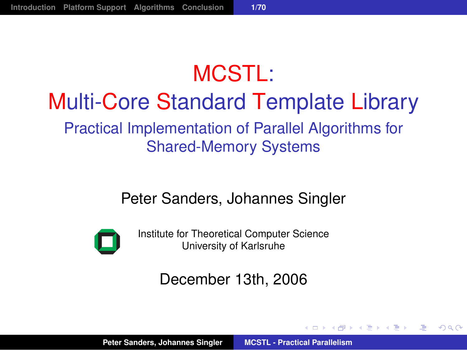# MCSTI · Multi-Core Standard Template Library Practical Implementation of Parallel Algorithms for Shared-Memory Systems

#### Peter Sanders, Johannes Singler



Institute for Theoretical Computer Science University of Karlsruhe

#### December 13th, 2006

御きメモメメモン

画

<span id="page-0-0"></span> $2Q$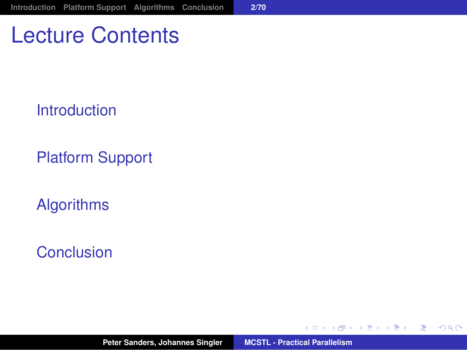### Lecture Contents

[Introduction](#page-2-0)

[Platform Support](#page-21-0)

[Algorithms](#page-26-0)

[Conclusion](#page-88-0)

メタメ スミメ スミメー

4 0 8

<span id="page-1-0"></span>■ 1  $2990$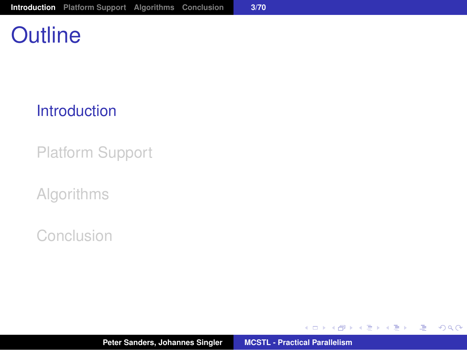# **Outline**

#### [Introduction](#page-2-0)

[Platform Support](#page-21-0)

[Algorithms](#page-26-0)

[Conclusion](#page-88-0)

イロメ イ部メ イ君メ イ君メー

<span id="page-2-0"></span>(B)  $2QQ$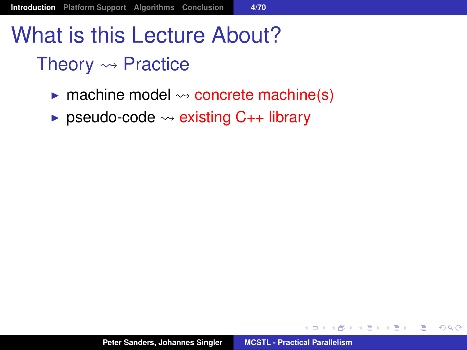# What is this Lecture About?

#### Theory  $\rightsquigarrow$  Practice

- $\triangleright$  machine model  $\rightsquigarrow$  concrete machine(s)
- **Example 3** pseudo-code  $\rightsquigarrow$  existing C<sub>++</sub> library

す 御 メ イ 重 メ イ 重 メー

<span id="page-3-0"></span> $E = \Omega Q$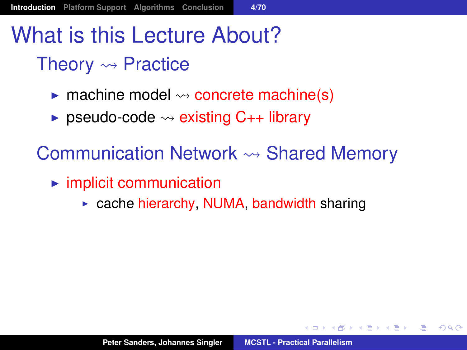# What is this Lecture About?

#### Theory  $\rightsquigarrow$  Practice

- $\triangleright$  machine model  $\rightsquigarrow$  concrete machine(s)
- **Example 1** pseudo-code  $\rightsquigarrow$  existing  $C_{++}$  library

Communication Network  $\rightsquigarrow$  Shared Memory

- $\blacktriangleright$  implicit communication
	- $\triangleright$  cache hierarchy, NUMA, bandwidth sharing

<span id="page-4-0"></span>( @ ) ( B ) ( B ) ( B ) ( B ) ( O Q O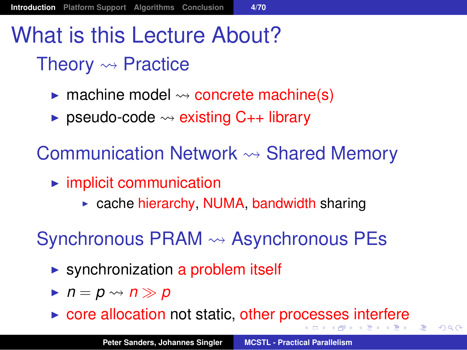# What is this Lecture About?

#### Theory  $\rightsquigarrow$  Practice

- $\triangleright$  machine model  $\rightsquigarrow$  concrete machine(s)
- **Example 1** pseudo-code  $\rightsquigarrow$  existing  $C_{++}$  library

Communication Network  $\rightsquigarrow$  Shared Memory

- $\blacktriangleright$  implicit communication
	- $\triangleright$  cache hierarchy, NUMA, bandwidth sharing

Synchronous PRAM  $\rightsquigarrow$  Asynchronous PEs

- $\triangleright$  synchronization a problem itself
- $\blacktriangleright$   $n = p \rightsquigarrow n \gg p$
- $\triangleright$  $\triangleright$  $\triangleright$  $\triangleright$  core allocation not static, other pr[oce](#page-4-0)[s](#page-5-0)ses [i](#page-6-0)[n](#page-1-0)te[r](#page-20-0)[f](#page-1-0)ere

ほうしゅぼうし

画

<span id="page-5-0"></span> $QQ$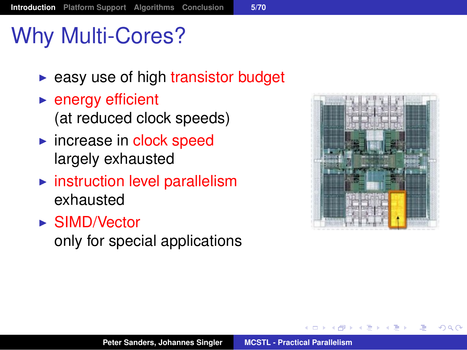# Why Multi-Cores?

- $\blacktriangleright$  easy use of high transistor budget
- $\blacktriangleright$  energy efficient (at reduced clock speeds)
- $\blacktriangleright$  increase in clock speed largely exhausted
- $\blacktriangleright$  instruction level parallelism exhausted
- $\triangleright$  SIMD/Vector only for special applications



化重新化

<span id="page-6-0"></span> $2Q$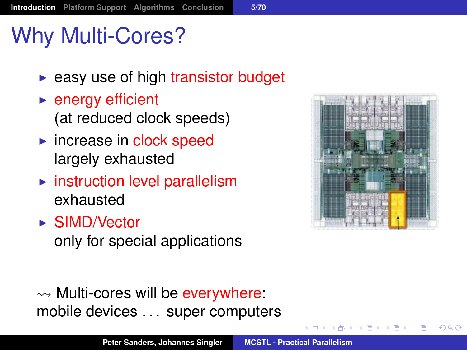# Why Multi-Cores?

- $\blacktriangleright$  easy use of high transistor budget
- $\blacktriangleright$  energy efficient (at reduced clock speeds)
- $\blacktriangleright$  increase in clock speed largely exhausted
- $\blacktriangleright$  instruction level parallelism exhausted
- $\triangleright$  SIMD/Vector only for special applications



 $QQ$ 

 $\rightsquigarrow$  Multi-cores will be everywhere: mobile devices . . . super computers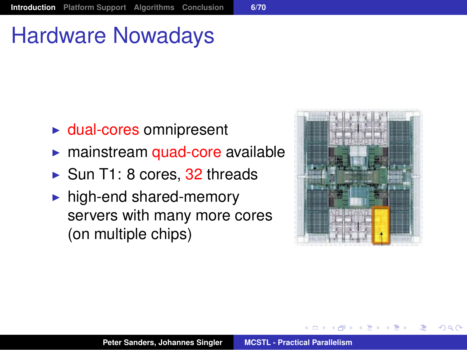# Hardware Nowadays

- $\blacktriangleright$  dual-cores omnipresent
- mainstream quad-core available
- $\triangleright$  Sun T1: 8 cores, 32 threads
- $\blacktriangleright$  high-end shared-memory servers with many more cores (on multiple chips)



 $QQ$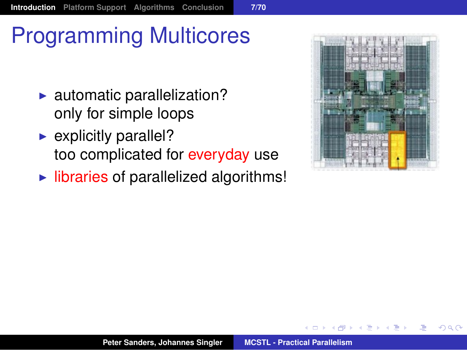# Programming Multicores

- $\blacktriangleright$  automatic parallelization? only for simple loops
- $\blacktriangleright$  explicitly parallel? too complicated for everyday use
- $\blacktriangleright$  libraries of parallelized algorithms!



 $QQ$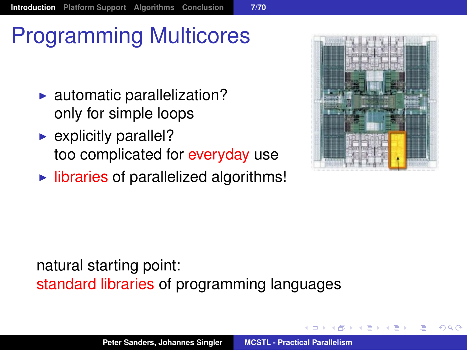# Programming Multicores

- $\blacktriangleright$  automatic parallelization? only for simple loops
- $\blacktriangleright$  explicitly parallel? too complicated for everyday use
- $\blacktriangleright$  libraries of parallelized algorithms!



 $\Omega$ 

#### natural starting point: standard libraries of programming languages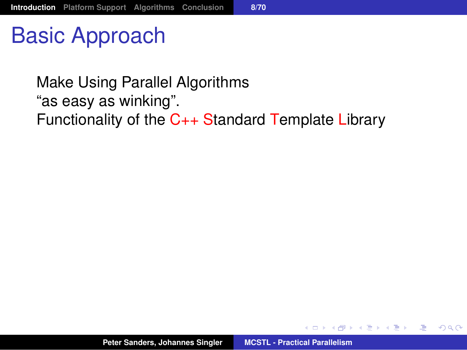Basic Approach

Make Using Parallel Algorithms "as easy as winking". Functionality of the C++ Standard Template Library

す 御 メ オ 津 メ オ 連 メー

画

 $200$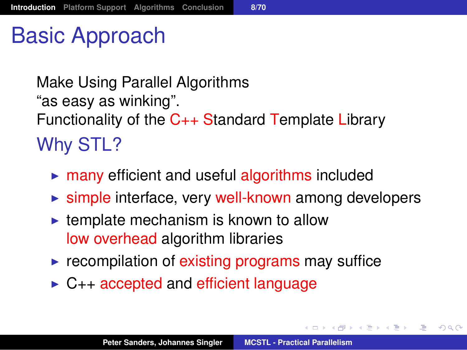# Basic Approach

Make Using Parallel Algorithms "as easy as winking". Functionality of the C++ Standard Template Library Why STL?

- $\triangleright$  many efficient and useful algorithms included
- $\triangleright$  simple interface, very well-known among developers
- $\blacktriangleright$  template mechanism is known to allow low overhead algorithm libraries
- $\triangleright$  recompilation of existing programs may suffice
- $\triangleright$  C++ accepted and efficient language

メタメメ きょくきょうき

 $2990$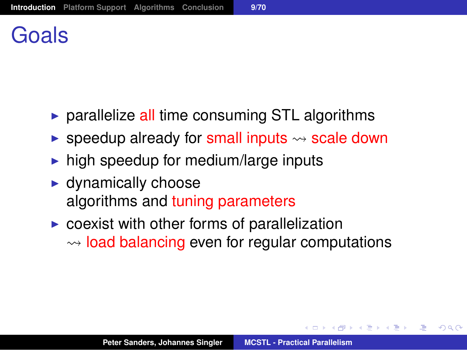# Goals

- $\triangleright$  parallelize all time consuming STL algorithms
- **Example 2** speedup already for small inputs  $\rightsquigarrow$  scale down
- $\triangleright$  high speedup for medium/large inputs
- $\blacktriangleright$  dynamically choose algorithms and tuning parameters
- $\triangleright$  coexist with other forms of parallelization  $\rightarrow$  load balancing even for regular computations

メタメ メミメ メミメー

造

 $QQQ$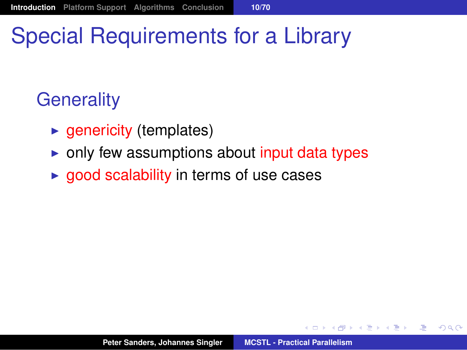# Special Requirements for a Library

#### **Generality**

- $\rightarrow$  genericity (templates)
- $\triangleright$  only few assumptions about input data types
- $\rightarrow$  good scalability in terms of use cases

御 ▶ すぼ ▶ すほ ▶ ...

画

 $2Q$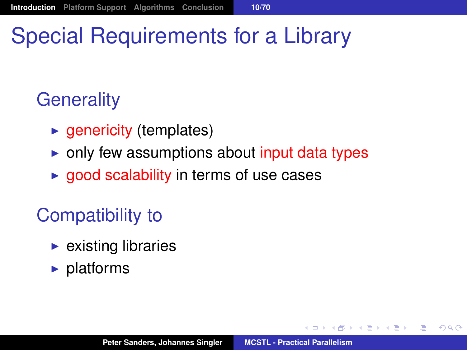# Special Requirements for a Library

#### **Generality**

- $\blacktriangleright$  genericity (templates)
- $\triangleright$  only few assumptions about input data types
- $\rightarrow$  good scalability in terms of use cases

#### Compatibility to

- $\blacktriangleright$  existing libraries
- $\blacktriangleright$  platforms

御 ▶ すぼ ▶ すぼ ▶ ...

造

 $2Q$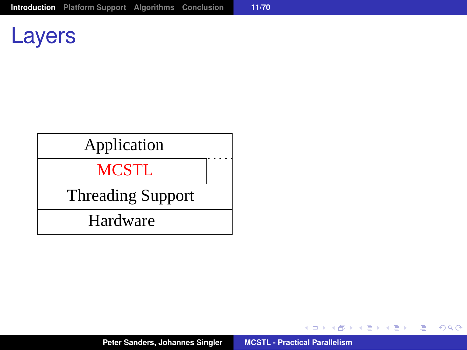#### Layers

# Application<br>MCSTL

Threading Support<br>Hardware

イロメ イ団メ イヨメ イヨメー

(B)  $2QQ$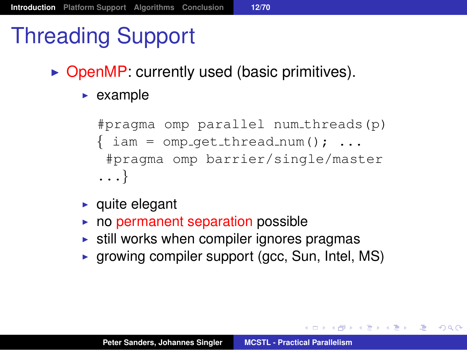# Threading Support

- $\triangleright$  OpenMP: currently used (basic primitives).
	- $\blacktriangleright$  example

```
#pragma omp parallel num threads(p)
\{ \text{iam} = \text{omp}_\text{get\_thread\_num}(); \ldots \}#pragma omp barrier/single/master
...}
```
- $\blacktriangleright$  quite elegant
- $\triangleright$  no permanent separation possible
- $\triangleright$  still works when compiler ignores pragmas
- $\triangleright$  growing compiler support (gcc, Sun, Intel, MS)

K ロ ▶ K 個 ▶ K 로 ▶ K 로 ▶ 『로 『 K) Q Q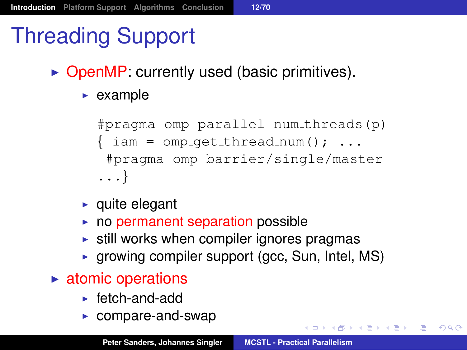# Threading Support

- $\triangleright$  OpenMP: currently used (basic primitives).
	- $\blacktriangleright$  example

```
#pragma omp parallel num threads(p)
\{ \text{iam} = \text{omp}_\text{get\_thread\_num}(); \ldots \}#pragma omp barrier/single/master
...}
```
- $\blacktriangleright$  quite elegant
- $\triangleright$  no permanent separation possible
- $\triangleright$  still works when compiler ignores pragmas
- $\triangleright$  growing compiler support (gcc, Sun, Intel, MS)
- $\blacktriangleright$  atomic operations
	- $\blacktriangleright$  fetch-and-add
	- $\triangleright$  compare-and-swap

K ロ ▶ K 個 ▶ K 로 ▶ K 로 ▶ 『로 『 K) Q Q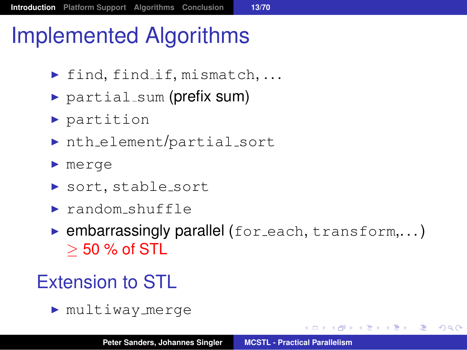# Implemented Algorithms

- $\blacktriangleright$  find, find if, mismatch, ...
- $\triangleright$  partial sum (prefix sum)
- $\blacktriangleright$  partition
- $\triangleright$  nth element/partial sort
- $\blacktriangleright$  merge
- ▶ sort, stable\_sort
- $\blacktriangleright$  random shuffle
- $\triangleright$  embarrassingly parallel (for each, transform,...)  $>$  50 % of STL

#### Extension to STL

 $\blacktriangleright$  multiway merge

( @ ) ( B ) ( B ) ( B ) ( B ) ( O Q O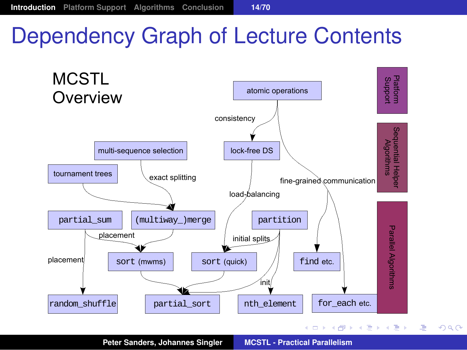# Dependency Graph of Lecture Contents



<span id="page-20-0"></span> $299$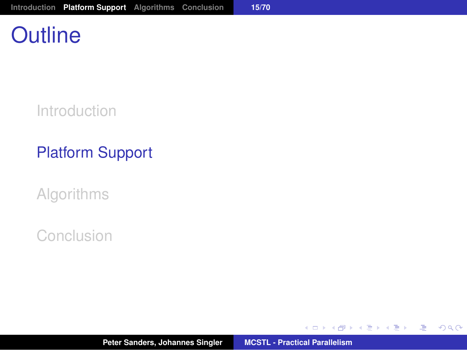# **Outline**

[Introduction](#page-2-0)

#### [Platform Support](#page-21-0)

[Algorithms](#page-26-0)

[Conclusion](#page-88-0)

イロメ イ部メ イ君メ イ君メー

<span id="page-21-0"></span>(B)  $2QQ$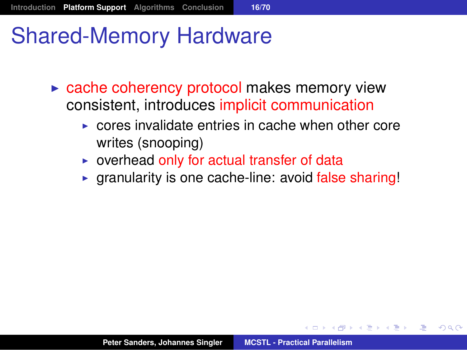### Shared-Memory Hardware

- $\triangleright$  cache coherency protocol makes memory view consistent, introduces implicit communication
	- $\triangleright$  cores invalidate entries in cache when other core writes (snooping)
	- $\triangleright$  overhead only for actual transfer of data
	- $\triangleright$  granularity is one cache-line: avoid false sharing!

→ 重き → 重き →

唾

 $QQ$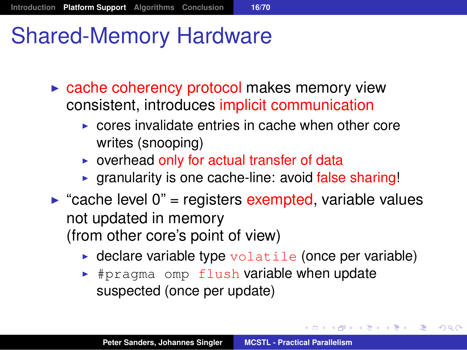- $\triangleright$  cache coherency protocol makes memory view consistent, introduces implicit communication
	- $\triangleright$  cores invalidate entries in cache when other core writes (snooping)
	- $\triangleright$  overhead only for actual transfer of data
	- $\triangleright$  granularity is one cache-line: avoid false sharing!
- $\triangleright$  "cache level 0" = registers exempted, variable values not updated in memory (from other core's point of view)
	- $\triangleright$  declare variable type volatile (once per variable)

メタメ スミメ スミメー

注

 $2Q$ 

 $\rightarrow$  #pragma omp flush variable when update suspected (once per update)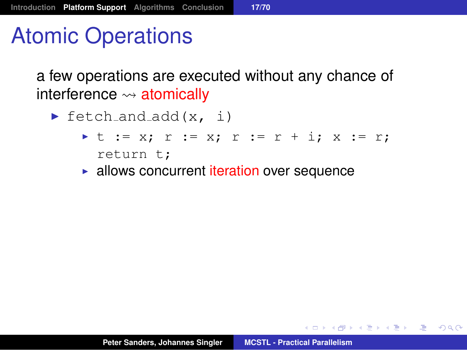# Atomic Operations

a few operations are executed without any chance of interference  $\rightsquigarrow$  atomically

- $\blacktriangleright$  fetch and add  $(x, i)$ 
	- I t := x; r := x; r := r + i; x := r; return t;
	- $\blacktriangleright$  allows concurrent iteration over sequence

K @ ▶ K 로 K K 로 K \_ 로 L K Q Q Q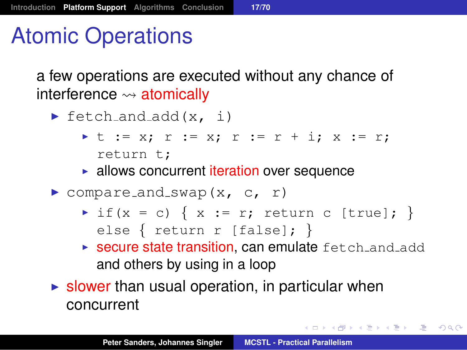# Atomic Operations

a few operations are executed without any chance of interference  $\rightsquigarrow$  atomically

- $\blacktriangleright$  fetch and add  $(x, i)$ 
	- I t := x; r := x; r := r + i; x := r; return t;
	- $\blacktriangleright$  allows concurrent iteration over sequence
- $\triangleright$  compare and swap(x, c, r)
	- $\triangleright$  if(x = c) { x := r; return c [true]; } else { return r [false]; }
	- **Secure state transition, can emulate** fetch and add and others by using in a loop

K ロ ▶ K 個 ▶ K 로 ▶ K 로 ▶ 『로 『 K) Q Q

 $\triangleright$  slower than usual operation, in particular when concurrent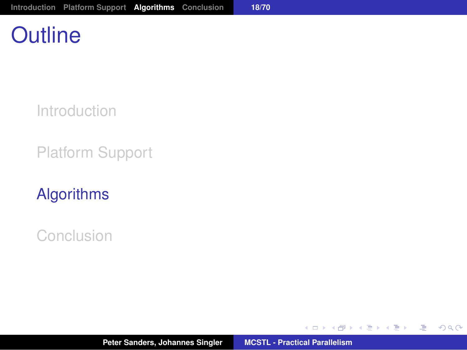# **Outline**

[Introduction](#page-2-0)

[Platform Support](#page-21-0)

#### [Algorithms](#page-26-0)

[Conclusion](#page-88-0)

**Peter Sanders, Johannes Singler [MCSTL - Practical Parallelism](#page-0-0)**

イロメ イ部メ イ君メ イ君メー

<span id="page-26-0"></span>(B)  $2QQ$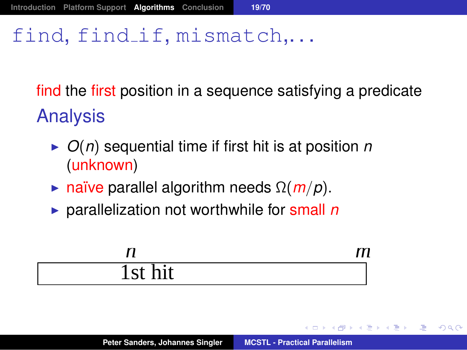#### find, find if, mismatch....

find the first position in a sequence satisfying a predicate Analysis

- ▶  $O(n)$  sequential time if first hit is at position *n* (unknown)
- **F** naïve parallel algorithm needs  $\Omega(m/p)$ .
- ▶ parallelization not worthwhile for small *n*

|                         | $\overline{a}$ |
|-------------------------|----------------|
| $\bullet$<br>hit<br>1st |                |

御 ▶ すぼ ▶ すぼ ▶ ..

唾

 $QQQ$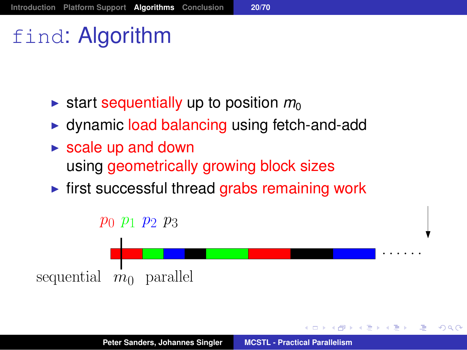# find: Algorithm

- **If** start sequentially up to position  $m_0$
- $\triangleright$  dynamic load balancing using fetch-and-add
- $\triangleright$  scale up and down using geometrically growing block sizes
- $\triangleright$  first successful thread grabs remaining work



 $QQ$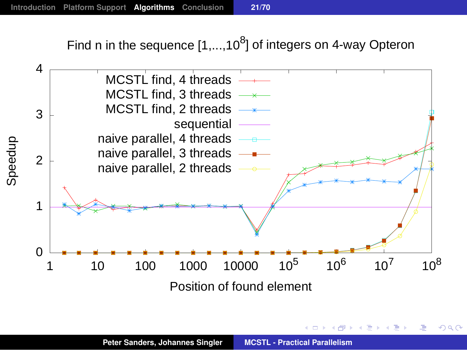Find n in the sequence  $[1,...,10^8]$  of integers on 4-way Opteron



 $2Q$ 

э

化重新润滑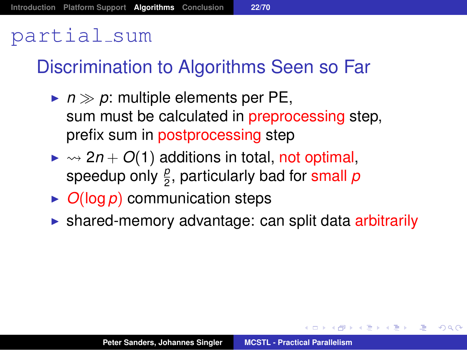#### partial sum

#### Discrimination to Algorithms Seen so Far

- $\blacktriangleright$   $n \gg p$ : multiple elements per PE, sum must be calculated in **preprocessing** step, prefix sum in postprocessing step
- $\triangleright \rightsquigarrow 2n + O(1)$  additions in total, not optimal, speedup only  $\frac{\rho}{2}$ , particularly bad for <mark>small</mark>  $\rho$
- $\triangleright$  *O*(log *p*) communication steps
- $\triangleright$  shared-memory advantage: can split data arbitrarily

K ロ > K 個 > K 差 > K 差 > 一差

 $2Q$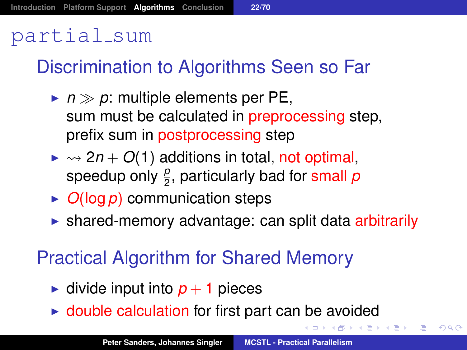#### partial sum

#### Discrimination to Algorithms Seen so Far

- $\blacktriangleright$   $n \gg p$ : multiple elements per PE, sum must be calculated in **preprocessing** step, prefix sum in postprocessing step
- $\triangleright \rightsquigarrow 2n + O(1)$  additions in total, not optimal, speedup only  $\frac{\rho}{2}$ , particularly bad for <mark>small</mark>  $\rho$
- $\triangleright$  *O*(log *p*) communication steps
- $\triangleright$  shared-memory advantage: can split data arbitrarily

#### Practical Algorithm for Shared Memory

- $\triangleright$  divide input into  $p + 1$  pieces
- $\triangleright$  double calculation for first part can be avoided

トメミトメミト (型) のなび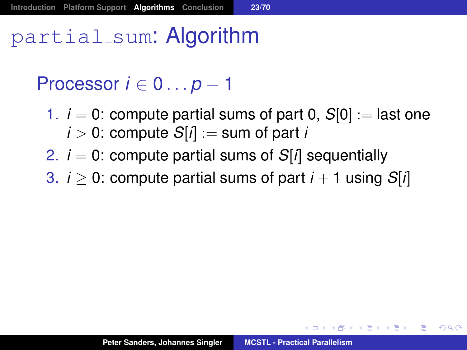# partial sum: Algorithm

#### Processor *i* ∈ 0 . . . *p* − 1

- 1.  $i = 0$ : compute partial sums of part 0,  $S[0] :=$  last one  $i > 0$ : compute  $S[i] :=$  sum of part *i*
- 2.  $i = 0$ : compute partial sums of  $S[i]$  sequentially
- 3.  $i > 0$ : compute partial sums of part  $i + 1$  using  $S[i]$

メタメメ きょくきょうき

 $2Q$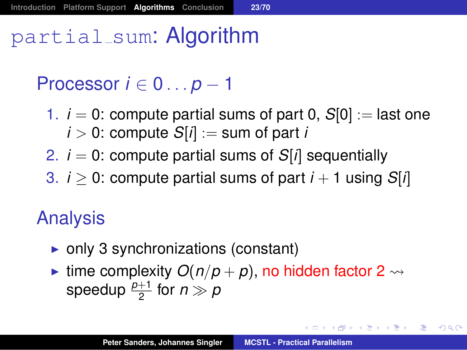# partial sum: Algorithm

#### Processor *i* ∈ 0 . . . *p* − 1

- 1.  $i = 0$ : compute partial sums of part 0,  $S[0] :=$  last one  $i > 0$ : compute  $S[i] :=$  sum of part *i*
- 2.  $i = 0$ : compute partial sums of  $S[i]$  sequentially
- 3.  $i > 0$ : compute partial sums of part  $i + 1$  using  $S[i]$

#### Analysis

- $\triangleright$  only 3 synchronizations (constant)
- ime complexity  $O(n/p + p)$ , no hidden factor 2  $\rightsquigarrow$ speedup  $\frac{p+1}{2}$  for  $n \gg p$

イロト イ母 トイ ヨ トイヨ トー ヨー

 $2990$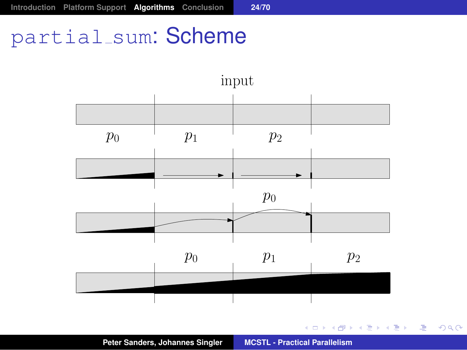#### partial\_sum: Scheme



イロメイ団 メイヨメイヨメーヨー

 $2QQ$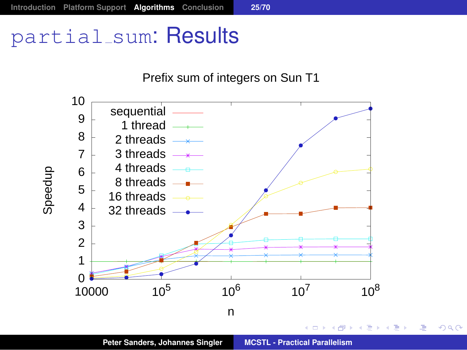#### partial\_sum: Results



唐.  $299$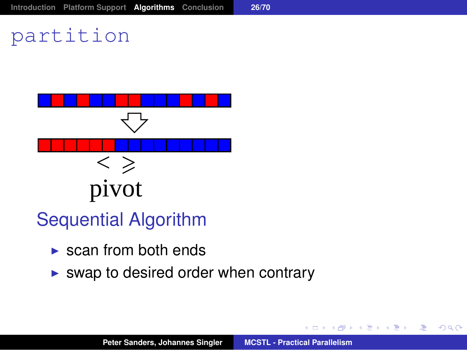# partition



- Sequential Algorithm
	- $\triangleright$  scan from both ends
	- $\triangleright$  swap to desired order when contrary

 $299$ 

画

メモメメモド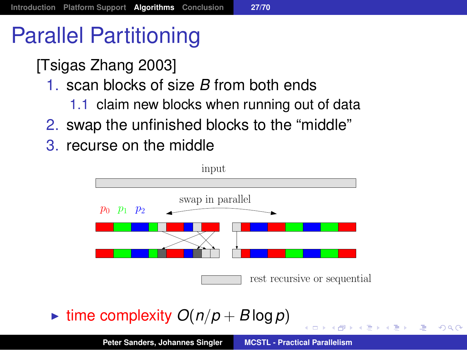# Parallel Partitioning

[Tsigas Zhang 2003]

- 1. scan blocks of size *B* from both ends
	- 1.1 claim new blocks when running out of data
- 2. swap the unfinished blocks to the "middle"
- 3. recurse on the middle



 $\triangleright$  time complexity  $O(n/p + B \log p)$ 

画

 $QQQ$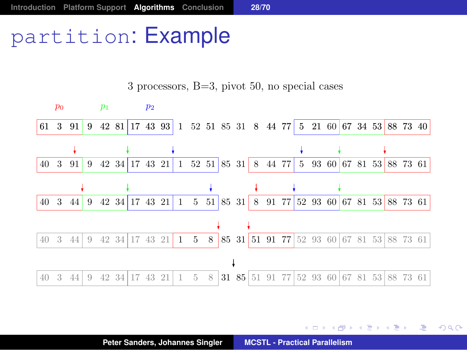# partition: Example

 $p_0$   $p_1$   $p_2$ 61 3 91 9 42 81 17 43 93 1 52 51 85 31 8 44 77 5 21 60 67 34 53 88 73 40 40 3 91 9 42 34 17 43 21 1 52 51 85 31 8 44 77 5 93 60 67 81 53 88 73 61 40 3 44 9 42 34 17 43 21 1 5 51 85 31 8 91 77 52 93 60 67 81 53 88 73 61 40 3 44 9 42 34 17 43 21 1 5 8 85 31 51 91 77 52 93 60 67 81 53 88 73 61  $\downarrow$ 40 3 44 9 42 34 17 43 21 1 5 8 31 85 51 91 77 52 93 60 67 81 53 88 73 61

3 processors, B=3, pivot 50, no special cases

重まし 画

不定 的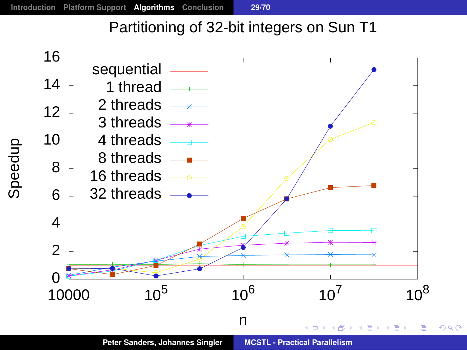#### Partitioning of 32-bit integers on Sun T1

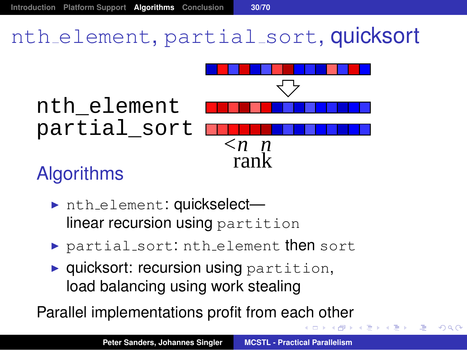# nth element, partial sort, quicksort



## **Algorithms**

- nth\_element: quickselectlinear recursion using partition
- $\triangleright$  partial sort: nth element then sort
- $\blacktriangleright$  quicksort: recursion using partition, load balancing using work stealing

Parallel implementations profit from each other

唾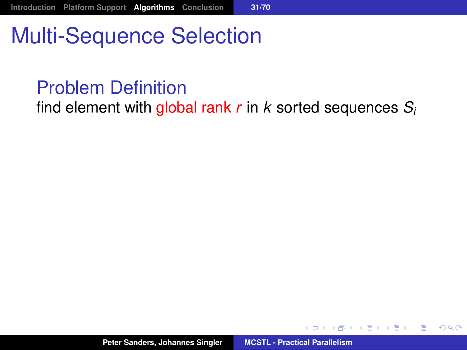# Multi-Sequence Selection

### Problem Definition

find element with global rank *r* in *k* sorted sequences *S<sup>i</sup>*

 $299$ 

画

御 ▶ イ君 ▶ イ君 ▶ ..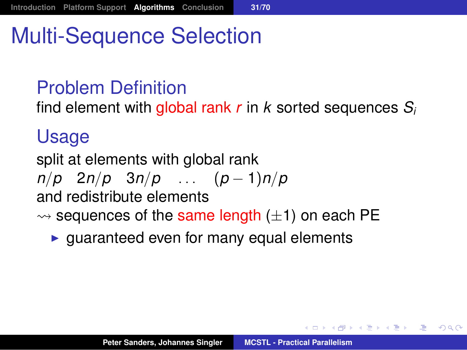# Multi-Sequence Selection

### Problem Definition

find element with global rank *r* in *k* sorted sequences *S<sup>i</sup>*

#### Usage

split at elements with global rank

*n*/*p* 2*n*/*p* 3*n*/*p* . . . (*p* − 1)*n*/*p*

and redistribute elements

- $\rightsquigarrow$  sequences of the same length ( $\pm$ 1) on each PE
	- $\triangleright$  guaranteed even for many equal elements

( @ ) ( B ) ( B ) ( B ) ( B ) ( O Q O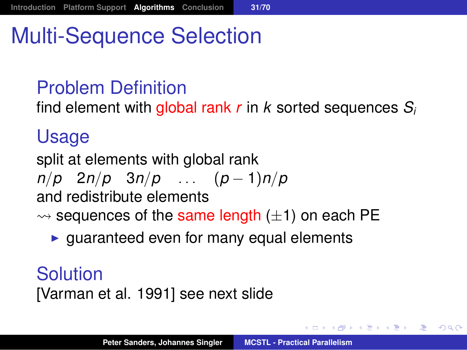# Multi-Sequence Selection

### Problem Definition

find element with global rank *r* in *k* sorted sequences *S<sup>i</sup>*

#### Usage

split at elements with global rank

$$
n/p \quad 2n/p \quad 3n/p \quad \dots \quad (p-1)n/p
$$

and redistribute elements

- $\rightsquigarrow$  sequences of the same length ( $\pm$ 1) on each PE
	- $\rightarrow$  quaranteed even for many equal elements

**Solution** [Varman et al. 1991] see next slide

御 トメ ヨ ト メ ヨ トー

造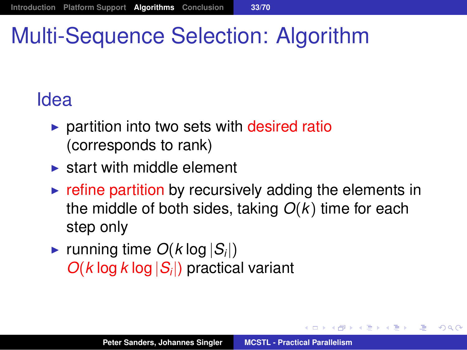# Multi-Sequence Selection: Algorithm

# Idea

- $\triangleright$  partition into two sets with desired ratio (corresponds to rank)
- $\triangleright$  start with middle element
- $\triangleright$  refine partition by recursively adding the elements in the middle of both sides, taking *O*(*k*) time for each step only
- **Figure** running time  $O(k \log |S_i|)$ *O*(*k* log *k* log |*S<sup>i</sup>* |) practical variant

造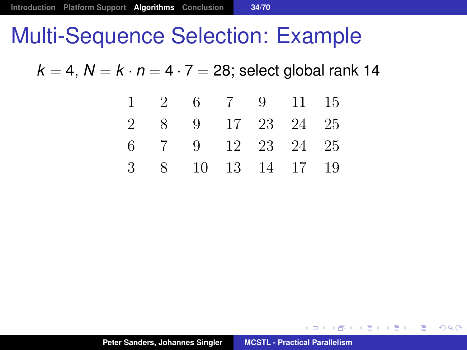$k = 4$ ,  $N = k \cdot n = 4 \cdot 7 = 28$ ; select global rank 14

|  | $1 \quad 2 \quad 6 \quad 7 \quad 9 \quad 11 \quad 15$ |  |  |
|--|-------------------------------------------------------|--|--|
|  | 2 8 9 17 23 24 25                                     |  |  |
|  | 6 7 9 12 23 24 25                                     |  |  |
|  | 3 8 10 13 14 17 19                                    |  |  |

す 御 メ イ 重 メ イ 重 メー

 $E = \Omega Q$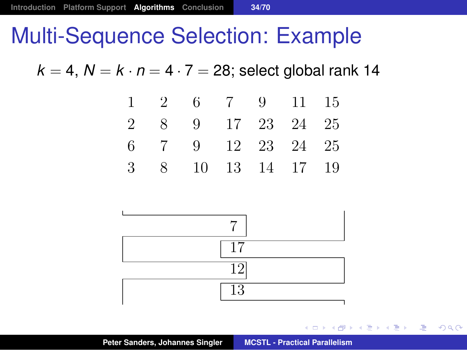$k = 4$ ,  $N = k \cdot n = 4 \cdot 7 = 28$ ; select global rank 14

|  | $1 \quad 2 \quad 6 \quad 7 \quad 9 \quad 11 \quad 15$ |  |  |
|--|-------------------------------------------------------|--|--|
|  | 2 8 9 17 23 24 25                                     |  |  |
|  | 6 7 9 12 23 24 25                                     |  |  |
|  | 3 8 10 13 14 17 19                                    |  |  |



→ 重き → 重き →

唐.  $2990$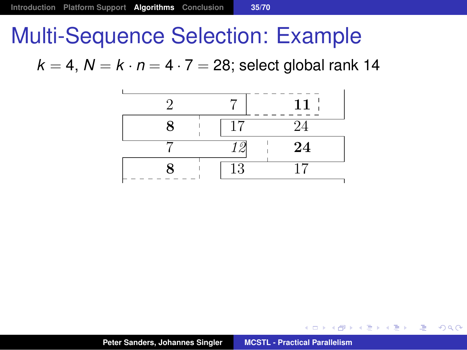$k = 4$ ,  $N = k \cdot n = 4 \cdot 7 = 28$ ; select global rank 14



(御) (言) (言)

■  $299$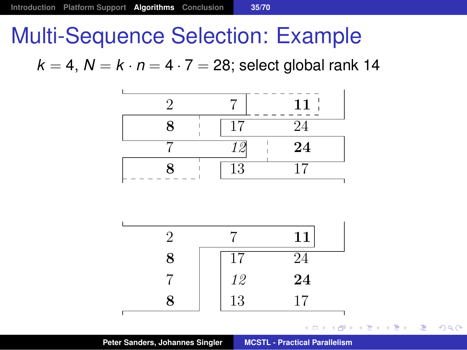$k = 4$ ,  $N = k \cdot n = 4 \cdot 7 = 28$ ; select global rank 14





画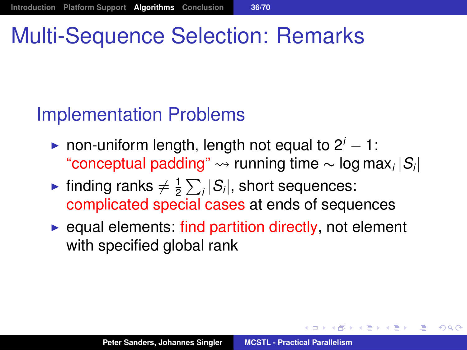# Multi-Sequence Selection: Remarks

## Implementation Problems

- **►** non-uniform length, length not equal to  $2^{i} 1$ : "conceptual padding" running time ∼ log max*<sup>i</sup>* |*Si* |
- inding ranks  $\neq \frac{1}{2}$  $\frac{1}{2}\sum_{i} |S_i|$ , short sequences: complicated special cases at ends of sequences
- $\rightarrow$  equal elements: find partition directly, not element with specified global rank

メタメ メミメ メミメー

注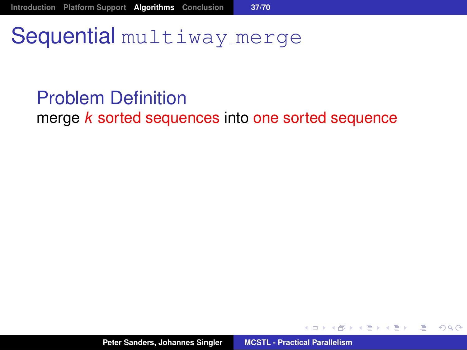# Sequential multiway merge

#### Problem Definition

merge *k* sorted sequences into one sorted sequence



御き メミメメ ミメー

画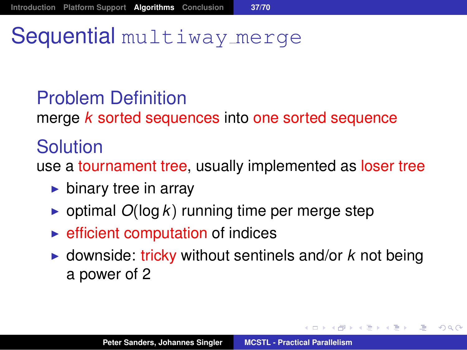# Sequential multiway merge

## Problem Definition

merge *k* sorted sequences into one sorted sequence

### Solution

use a tournament tree, usually implemented as loser tree

- $\blacktriangleright$  binary tree in array
- $\triangleright$  optimal  $O(\log k)$  running time per merge step
- $\blacktriangleright$  efficient computation of indices
- $\triangleright$  downside: tricky without sentinels and/or  $k$  not being a power of 2

(御) (ぼ) (ぼ) 違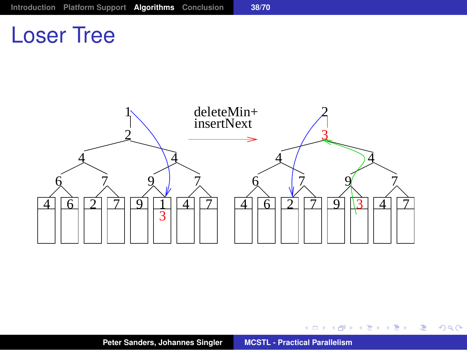# Loser Tree



 $2990$ 

メロトメ 御 トメ 君 トメ 君 トー 道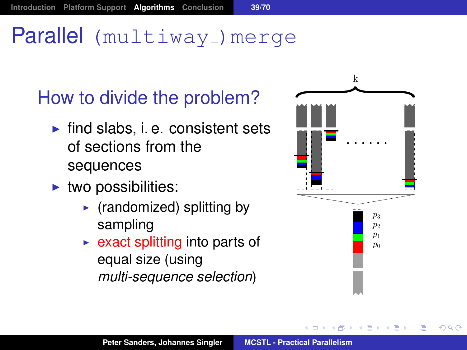# Parallel (multiway) merge

How to divide the problem?

- $\blacktriangleright$  find slabs, i. e. consistent sets of sections from the sequences
- $\blacktriangleright$  two possibilities:
	- $\blacktriangleright$  (randomized) splitting by sampling
	- $\triangleright$  exact splitting into parts of equal size (using *multi-sequence selection*)

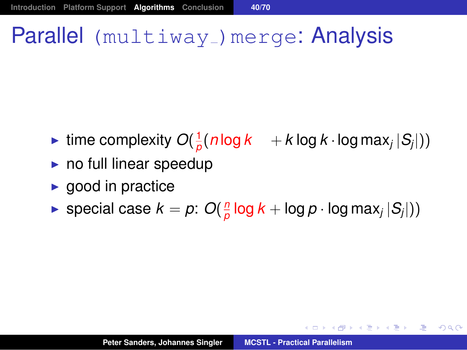# Parallel (multiway<sub>-</sub>)merge: Analysis

- ime complexity  $O(\frac{1}{n})$  $\frac{1}{\rho}(n \log k + k \log k \cdot \log \max_j |S_j|)$
- $\triangleright$  no full linear speedup
- $\blacktriangleright$  good in practice
- $\blacktriangleright$  special case  $k = p$ :  $O(\frac{n}{p})$  $\frac{n}{\rho} \log k + \log p \cdot \log \max_{j} |S_j|))$

(御) (唐) (唐) (唐)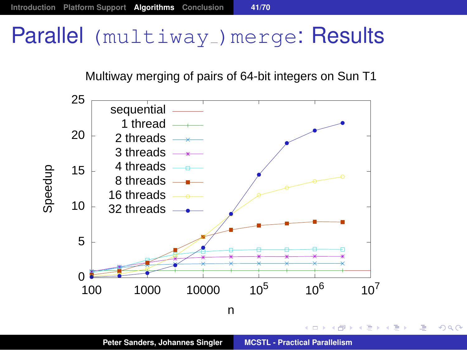# Parallel (multiway) merge: Results

#### Multiway merging of pairs of 64-bit integers on Sun T1



画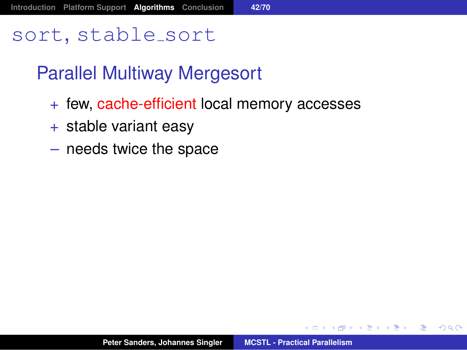### sort, stable sort

## Parallel Multiway Mergesort

- + few, cache-efficient local memory accesses
- $+$  stable variant easy
- needs twice the space

御 ▶ すぼ ▶ すほ ▶ ...

<span id="page-56-0"></span>画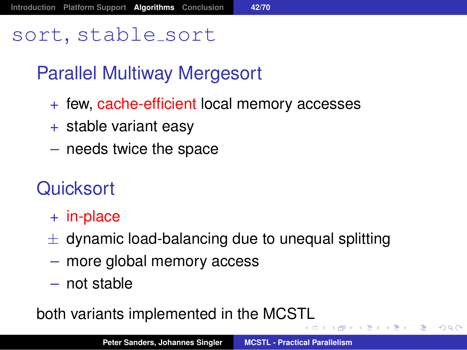### sort, stable sort

# Parallel Multiway Mergesort

- + few, cache-efficient local memory accesses
- + stable variant easy
- needs twice the space

## **Quicksort**

- + in-place
- $\pm$  dynamic load-balancing due to unequal splitting
- more global memory access
- not stable

both variants implemented in the MCS[TL](#page-56-0)

◆ 평 ▶ 《 평 》 《 평 》 ◆ 9 Q Q \*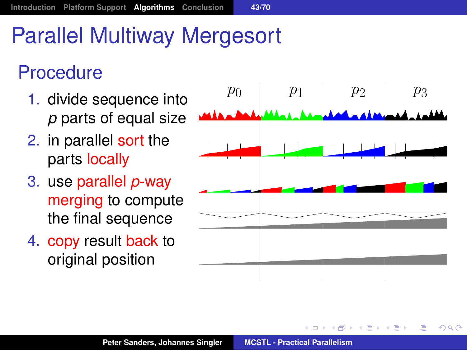# Parallel Multiway Mergesort

## **Procedure**

- 1. divide sequence into *p* parts of equal size
- 2. in parallel sort the parts locally
- 3. use parallel *p*-way merging to compute the final sequence
- 4. copy result back to original position

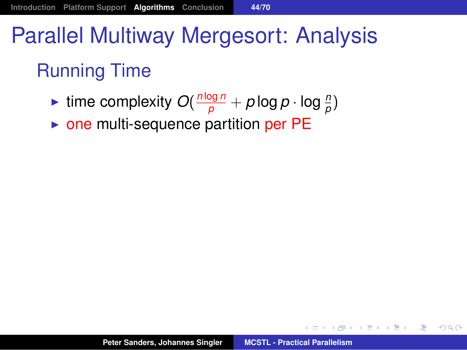# Parallel Multiway Mergesort: Analysis Running Time

- **Figure 1** time complexity  $O(\frac{n \log n}{p} + p \log p \cdot \log \frac{n}{p})$
- $\triangleright$  one multi-sequence partition per PE

K ロ ▶ K 個 ▶ K 로 ▶ K 로 ▶ 『로 『 K) Q Q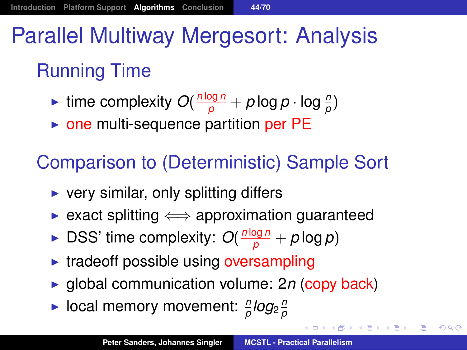# Parallel Multiway Mergesort: Analysis

# Running Time

- **Figure 1** time complexity  $O(\frac{n \log n}{p} + p \log p \cdot \log \frac{n}{p})$
- $\triangleright$  one multi-sequence partition per PE

## Comparison to (Deterministic) Sample Sort

- $\triangleright$  very similar, only splitting differs
- $\triangleright$  exact splitting  $\Longleftrightarrow$  approximation guaranteed
- ▶ DSS' time complexity:  $O(\frac{n \log n}{p} + p \log p)$
- $\triangleright$  tradeoff possible using oversampling
- ▶ global communication volume: 2*n* (copy back)
- $\blacktriangleright$  local memory movement:  $\frac{n}{\rho}$ *log*<sub>2</sub> $\frac{n}{\rho}$ *p*

(御) (ぼ) (ぼ) 違

 $-990$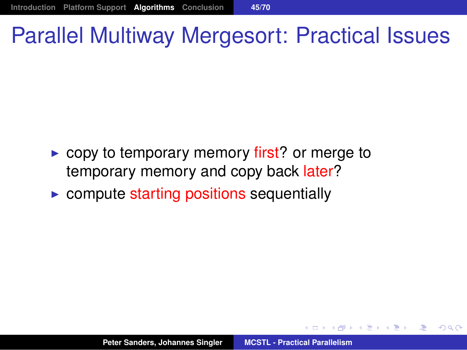# Parallel Multiway Mergesort: Practical Issues

- $\triangleright$  copy to temporary memory first? or merge to temporary memory and copy back later?
- $\triangleright$  compute starting positions sequentially

医单位 医单位

唾

 $QQQ$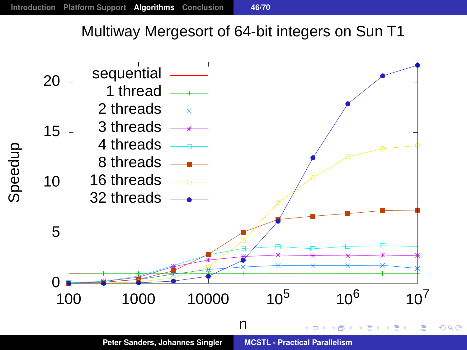#### Multiway Mergesort of 64-bit integers on Sun T1

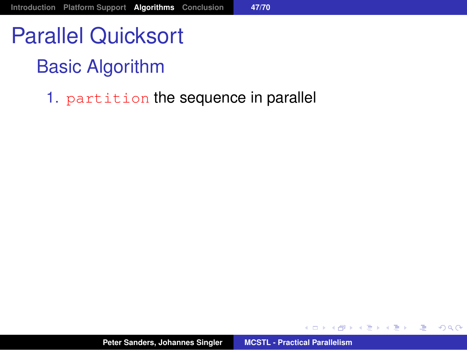# Basic Algorithm

1. partition the sequence in parallel

御きメモメメモン

画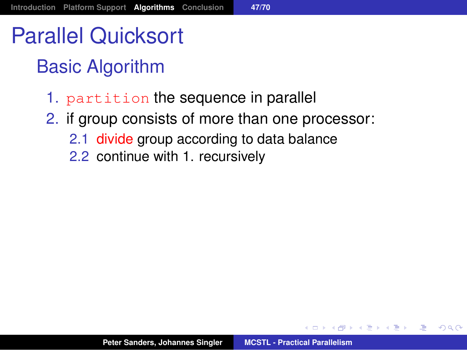# Parallel Quicksort

# Basic Algorithm

- 1. partition the sequence in parallel
- 2. if group consists of more than one processor:
	- 2.1 divide group according to data balance
	- 2.2 continue with 1. recursively

→ 重き → 重き →

画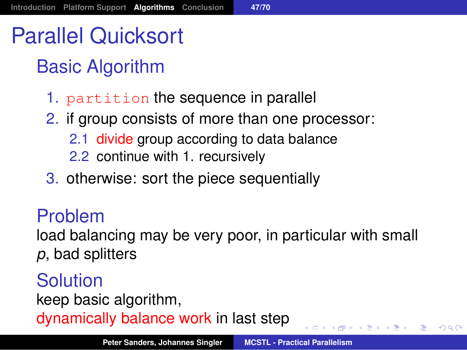# Parallel Quicksort

# Basic Algorithm

- 1. partition the sequence in parallel
- 2. if group consists of more than one processor:
	- 2.1 divide group according to data balance
	- 2.2 continue with 1. recursively
- 3. otherwise: sort the piece sequentially

#### Problem

load balancing may be very poor, in particular with small *p*, bad splitters

#### Solution keep basic algorithm, dynamically balance work in last step

御 トメミ トメミ トーミ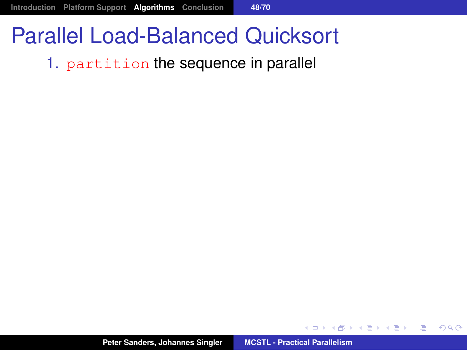# Parallel Load-Balanced Quicksort

#### 1. partition the sequence in parallel

**Peter Sanders, Johannes Singler [MCSTL - Practical Parallelism](#page-0-0)**

御きメモメメモン

唐.  $299$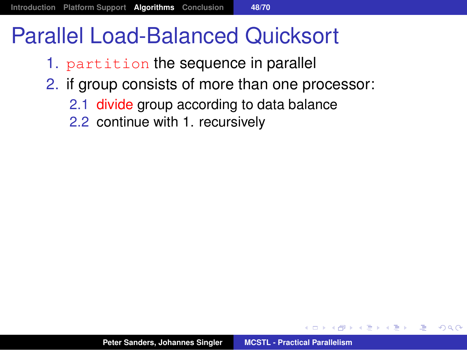# Parallel Load-Balanced Quicksort

- 1. partition the sequence in parallel
- 2. if group consists of more than one processor:
	- 2.1 divide group according to data balance
	- 2.2 continue with 1. recursively

押 トイヨ トイヨ トー

画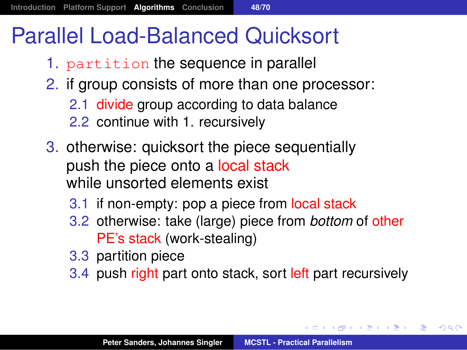# Parallel Load-Balanced Quicksort

- 1. partition the sequence in parallel
- 2. if group consists of more than one processor:
	- 2.1 divide group according to data balance
	- 2.2 continue with 1. recursively
- 3. otherwise: quicksort the piece sequentially push the piece onto a local stack while unsorted elements exist
	- 3.1 if non-empty: pop a piece from local stack
	- 3.2 otherwise: take (large) piece from *bottom* of other PE's stack (work-stealing)
	- 3.3 partition piece
	- 3.4 push right part onto stack, sort left part recursively

メタメ スミメ スミメー

造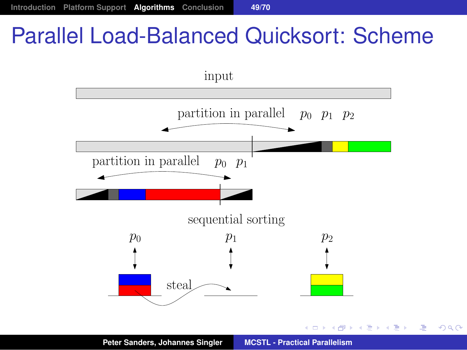# Parallel Load-Balanced Quicksort: Scheme



 $299$ 

**Peter Sanders, Johannes Singler [MCSTL - Practical Parallelism](#page-0-0)**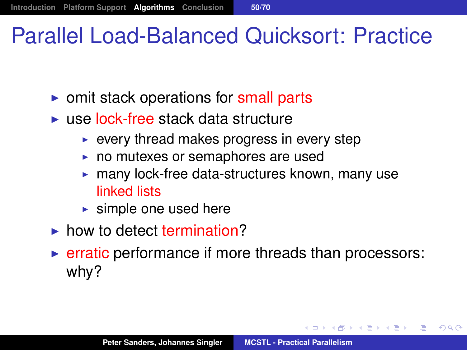# Parallel Load-Balanced Quicksort: Practice

- $\triangleright$  omit stack operations for small parts
- $\triangleright$  use lock-free stack data structure
	- $\triangleright$  every thread makes progress in every step
	- $\triangleright$  no mutexes or semaphores are used
	- $\triangleright$  many lock-free data-structures known, many use linked lists
	- $\blacktriangleright$  simple one used here
- $\blacktriangleright$  how to detect termination?
- $\triangleright$  erratic performance if more threads than processors: why?

K 御 ▶ K 唐 ▶ K 唐 ▶ ...

造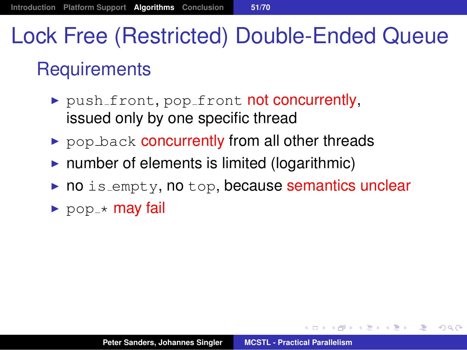# Lock Free (Restricted) Double-Ended Queue **Requirements**

- $\rightarrow$  push front, pop front not concurrently, issued only by one specific thread
- pop back concurrently from all other threads
- $\triangleright$  number of elements is limited (logarithmic)
- no is empty, no top, because semantics unclear
- $\triangleright$  pop  $\star$  may fail

◆ 御き ◆ 唐 \* ◆ 唐 \* 『唐』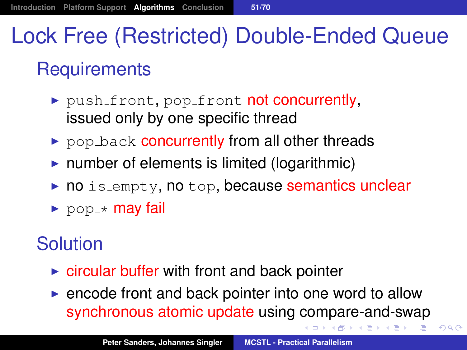# Lock Free (Restricted) Double-Ended Queue **Requirements**

- $\rightarrow$  push front, pop front not concurrently, issued only by one specific thread
- $\triangleright$  pop back concurrently from all other threads
- $\triangleright$  number of elements is limited (logarithmic)
- $\triangleright$  no is empty, no top, because semantics unclear
- $\blacktriangleright$  pop  $\star$  may fail

### **Solution**

- $\triangleright$  circular buffer with front and back pointer
- $\triangleright$  encode front and back pointer into one word to allow synchronous atomic update using compare-and-swap

 $2Q$ 

おす 高 おし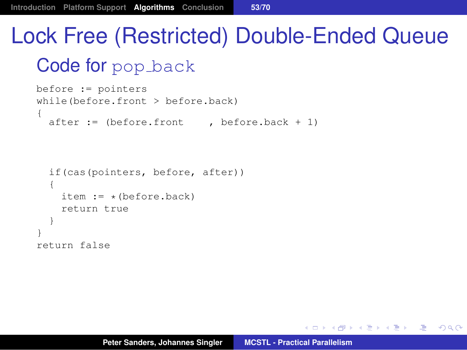# Lock Free (Restricted) Double-Ended Queue

#### Code for pop back

```
before := pointers
while(before.front > before.back)
{
  after := (before.front , before.back + 1)
  if(cas(pointers, before, after))
  {
    item := * (before.back)
    return true
  }
}
```
return false

K個→ K 目→ K 目→ 「目」 YO Q O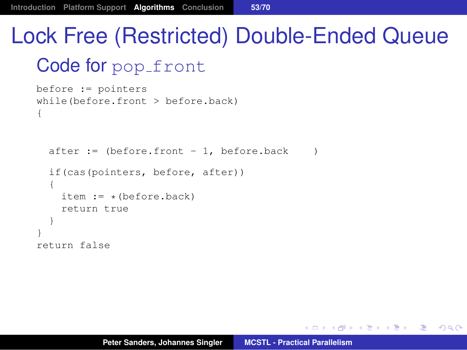# Lock Free (Restricted) Double-Ended Queue Code for pop\_front

```
before := pointers
while(before.front > before.back)
{
```

```
after := (before. front -1, before. back
  if(cas(pointers, before, after))
  {
    item := * (before.back)
    return true
  }
}
return false
```
K @ ▶ K 로 K K 로 K \_ 로 L K Q Q Q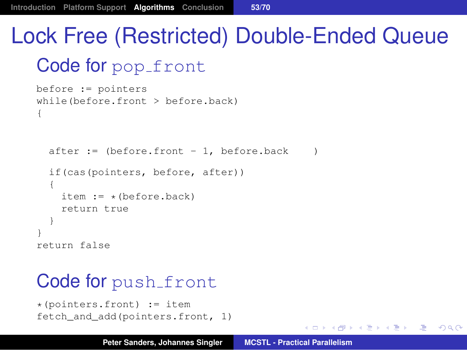# Lock Free (Restricted) Double-Ended Queue Code for pop\_front

```
before := pointers
while(before.front > before.back)
{
```

```
after := (before. front -1, before. back
  if(cas(pointers, before, after))
  {
    item := * (before.back)
    return true
  }
}
return false
```
#### Code for push\_front

```
*(pointers.front) := item
fetch_and_add(pointers.front, 1)
```
K ロ ▶ K 御 ▶ K 唐 ▶ K 唐 ▶ ...

 $E = \Omega Q$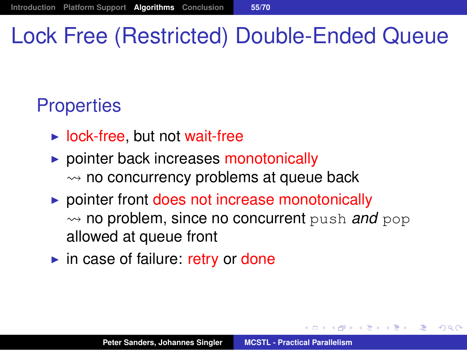# Lock Free (Restricted) Double-Ended Queue

### **Properties**

- $\triangleright$  lock-free, but not wait-free
- $\triangleright$  pointer back increases monotonically  $\rightsquigarrow$  no concurrency problems at queue back
- $\triangleright$  pointer front does not increase monotonically  $\rightsquigarrow$  no problem, since no concurrent push *and* pop allowed at queue front
- $\triangleright$  in case of failure: retry or done

母 ト イヨ ト イヨ トー

唾

 $QQQ$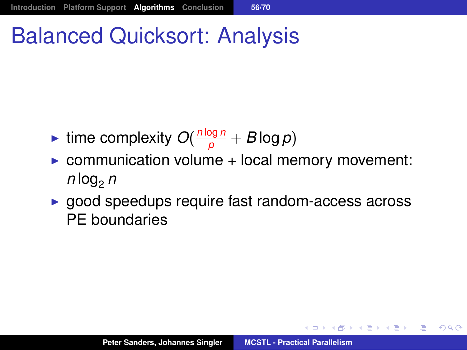# Balanced Quicksort: Analysis

- **Figure 1** time complexity  $O(\frac{n \log n}{p} + B \log p)$
- $\triangleright$  communication volume + local memory movement:  $n$   $log_2 n$
- $\triangleright$  good speedups require fast random-access across PE boundaries

K個→ K 目→ K 目→ → 目→ K Q Q Q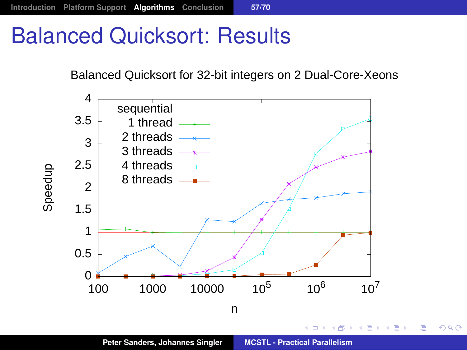# Balanced Quicksort: Results

#### Balanced Quicksort for 32-bit integers on 2 Dual-Core-Xeons



**Peter Sanders, Johannes Singler [MCSTL - Practical Parallelism](#page-0-0)**

■  $299$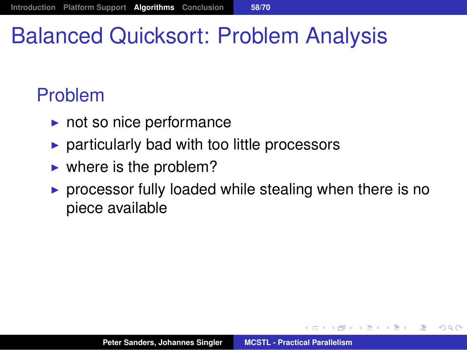# Balanced Quicksort: Problem Analysis

### Problem

- $\blacktriangleright$  not so nice performance
- $\triangleright$  particularly bad with too little processors
- $\blacktriangleright$  where is the problem?
- $\triangleright$  processor fully loaded while stealing when there is no piece available

 $299$ 

画

御 ▶ すぼ ▶ すほ ▶ ...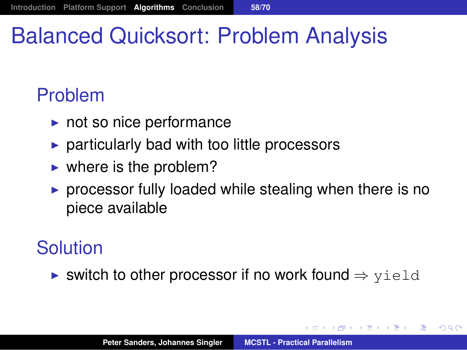# Balanced Quicksort: Problem Analysis

### Problem

- $\blacktriangleright$  not so nice performance
- $\triangleright$  particularly bad with too little processors
- $\blacktriangleright$  where is the problem?
- $\triangleright$  processor fully loaded while stealing when there is no piece available

#### Solution

 $\triangleright$  switch to other processor if no work found  $\Rightarrow$  yield

す (伊) とす き と す 重 とく

造

 $2Q$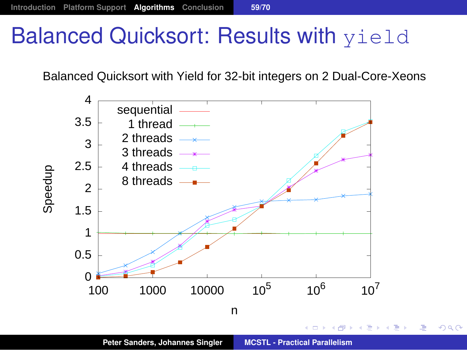# **Balanced Quicksort: Results with yield**

Balanced Quicksort with Yield for 32-bit integers on 2 Dual-Core-Xeons



**Peter Sanders, Johannes Singler [MCSTL - Practical Parallelism](#page-0-0)**

画

 $299$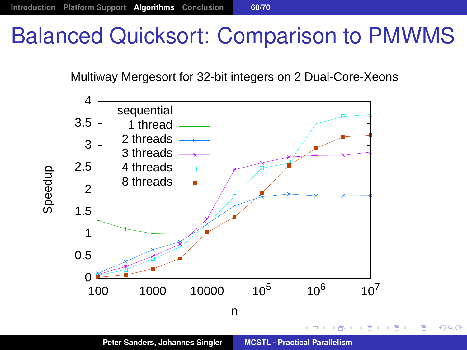# Balanced Quicksort: Comparison to PMWMS

Multiway Mergesort for 32-bit integers on 2 Dual-Core-Xeons



**Peter Sanders, Johannes Singler [MCSTL - Practical Parallelism](#page-0-0)**

画

 $299$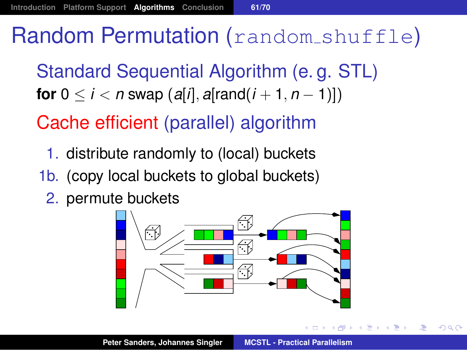## Random Permutation (random shuffle)

Standard Sequential Algorithm (e. g. STL) **for**  $0 \le i \le n$  swap  $(a[i], a[rand(i + 1, n - 1)])$ 

Cache efficient (parallel) algorithm

- 1. distribute randomly to (local) buckets
- 1b. (copy local buckets to global buckets)
	- 2. permute buckets



 $QQ$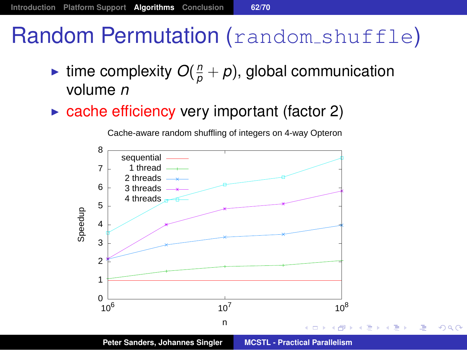# Random Permutation (random shuffle)

- ightharpoonup interpretation  $O(\frac{n}{\rho} + p)$ , global communication volume *n*
- $\triangleright$  cache efficiency very important (factor 2)

 $3 \frac{1}{2}$  $4<sup>2</sup>$  $5<sup>2</sup>$  $6 \div 3$  threads  $\longrightarrow$  $7 \downarrow$  1 thread ——  $8 \sim$ sequential 2 threads  $-x$ 4 threads

Cache-aware random shuffling of integers on 4-way Opteron



**Peter Sanders, Johannes Singler [MCSTL - Practical Parallelism](#page-0-0)**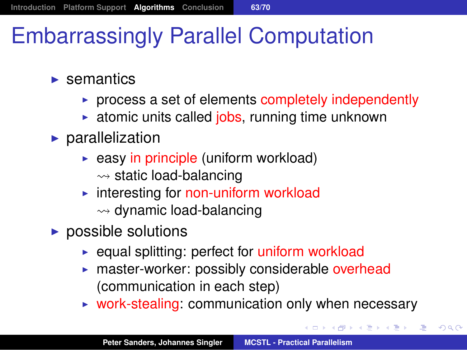# Embarrassingly Parallel Computation

- $\blacktriangleright$  semantics
	- $\triangleright$  process a set of elements completely independently
	- $\triangleright$  atomic units called jobs, running time unknown
- $\blacktriangleright$  parallelization
	- $\triangleright$  easy in principle (uniform workload)  $\rightsquigarrow$  static load-balancing
	- $\triangleright$  interesting for non-uniform workload  $\rightsquigarrow$  dynamic load-balancing
- $\blacktriangleright$  possible solutions
	- $\triangleright$  equal splitting: perfect for uniform workload
	- $\triangleright$  master-worker: possibly considerable overhead (communication in each step)
	- $\triangleright$  work-stealing: communication only when necessary

メタメメ きょくきょうき

 $299$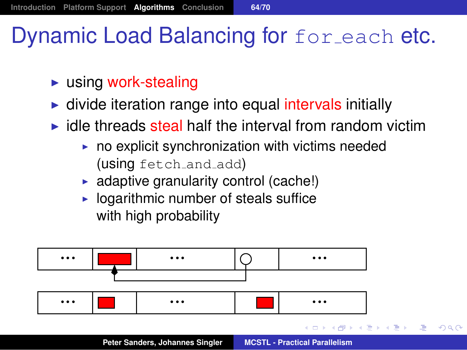# Dynamic Load Balancing for for each etc.

- $\blacktriangleright$  using work-stealing
- $\blacktriangleright$  divide iteration range into equal intervals initially
- $\blacktriangleright$  idle threads steal half the interval from random victim
	- $\triangleright$  no explicit synchronization with victims needed (using fetch and add)
	- $\triangleright$  adaptive granularity control (cache!)
	- $\blacktriangleright$  logarithmic number of steals suffice with high probability



④重 > ④重 > 。

唾

 $QQQ$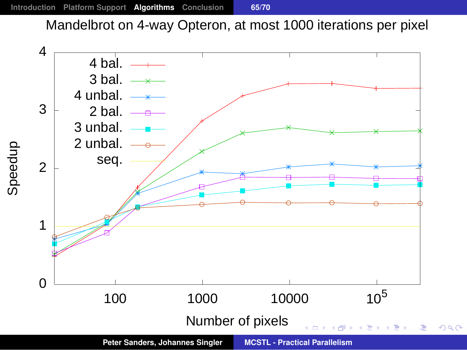Mandelbrot on 4-way Opteron, at most 1000 iterations per pixel

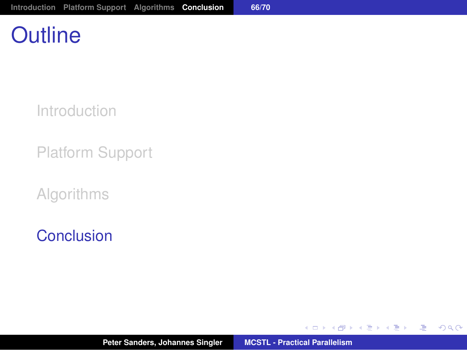# **Outline**

[Introduction](#page-2-0)

[Platform Support](#page-21-0)

[Algorithms](#page-26-0)

[Conclusion](#page-88-0)

イロメ イ部メ イヨメ イヨメー

<span id="page-88-0"></span>(B)  $2QQ$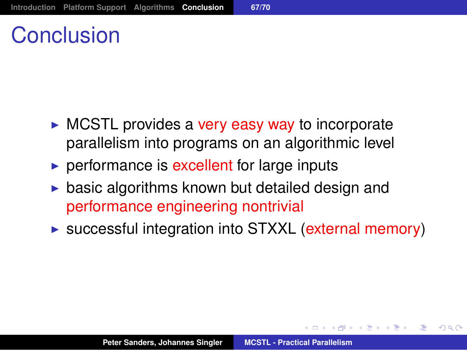# Conclusion

- $\triangleright$  MCSTL provides a very easy way to incorporate parallelism into programs on an algorithmic level
- $\triangleright$  performance is excellent for large inputs
- $\triangleright$  basic algorithms known but detailed design and performance engineering nontrivial
- $\triangleright$  successful integration into STXXL (external memory)

A + + 3 + + 3 + +

唾

 $QQ$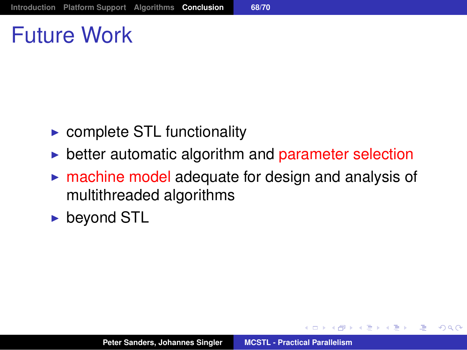# Future Work

- $\triangleright$  complete STL functionality
- $\triangleright$  better automatic algorithm and parameter selection
- $\triangleright$  machine model adequate for design and analysis of multithreaded algorithms
- $\blacktriangleright$  beyond STL

御き メミメメ ミメー

画

 $2Q$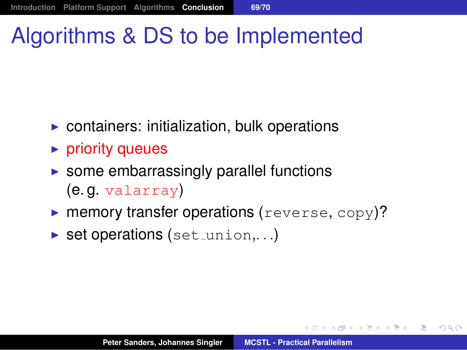# Algorithms & DS to be Implemented

- $\triangleright$  containers: initialization, bulk operations
- $\blacktriangleright$  priority queues
- $\triangleright$  some embarrassingly parallel functions (e. g. valarray)
- $\triangleright$  memory transfer operations (reverse, copy)?
- $\triangleright$  set operations (set \_union,...)

K個→ K 目→ K 目→ → 目→ K Q Q Q